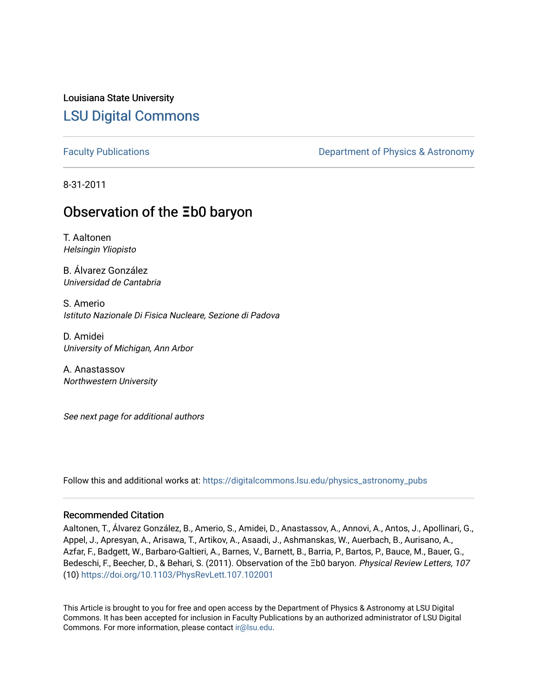Louisiana State University [LSU Digital Commons](https://digitalcommons.lsu.edu/)

[Faculty Publications](https://digitalcommons.lsu.edu/physics_astronomy_pubs) **Exercise 2 and Table 2 and Table 2 and Table 2 and Table 2 and Table 2 and Table 2 and Table 2 and Table 2 and Table 2 and Table 2 and Table 2 and Table 2 and Table 2 and Table 2 and Table 2 and Table** 

8-31-2011

## **Observation of the**  $\Xi$ **b0 baryon**

T. Aaltonen Helsingin Yliopisto

B. Álvarez González Universidad de Cantabria

S. Amerio Istituto Nazionale Di Fisica Nucleare, Sezione di Padova

D. Amidei University of Michigan, Ann Arbor

A. Anastassov Northwestern University

See next page for additional authors

Follow this and additional works at: [https://digitalcommons.lsu.edu/physics\\_astronomy\\_pubs](https://digitalcommons.lsu.edu/physics_astronomy_pubs?utm_source=digitalcommons.lsu.edu%2Fphysics_astronomy_pubs%2F2349&utm_medium=PDF&utm_campaign=PDFCoverPages) 

#### Recommended Citation

Aaltonen, T., Álvarez González, B., Amerio, S., Amidei, D., Anastassov, A., Annovi, A., Antos, J., Apollinari, G., Appel, J., Apresyan, A., Arisawa, T., Artikov, A., Asaadi, J., Ashmanskas, W., Auerbach, B., Aurisano, A., Azfar, F., Badgett, W., Barbaro-Galtieri, A., Barnes, V., Barnett, B., Barria, P., Bartos, P., Bauce, M., Bauer, G., Bedeschi, F., Beecher, D., & Behari, S. (2011). Observation of the Ξb0 baryon. Physical Review Letters, 107 (10) <https://doi.org/10.1103/PhysRevLett.107.102001>

This Article is brought to you for free and open access by the Department of Physics & Astronomy at LSU Digital Commons. It has been accepted for inclusion in Faculty Publications by an authorized administrator of LSU Digital Commons. For more information, please contact [ir@lsu.edu](mailto:ir@lsu.edu).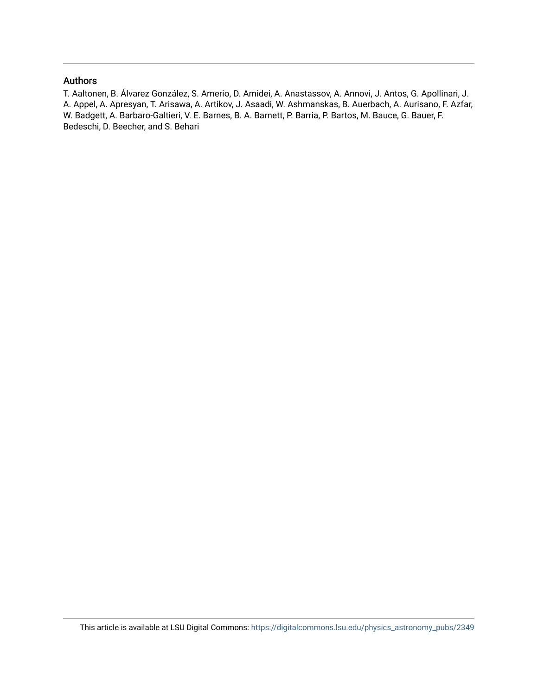### Authors

T. Aaltonen, B. Álvarez González, S. Amerio, D. Amidei, A. Anastassov, A. Annovi, J. Antos, G. Apollinari, J. A. Appel, A. Apresyan, T. Arisawa, A. Artikov, J. Asaadi, W. Ashmanskas, B. Auerbach, A. Aurisano, F. Azfar, W. Badgett, A. Barbaro-Galtieri, V. E. Barnes, B. A. Barnett, P. Barria, P. Bartos, M. Bauce, G. Bauer, F. Bedeschi, D. Beecher, and S. Behari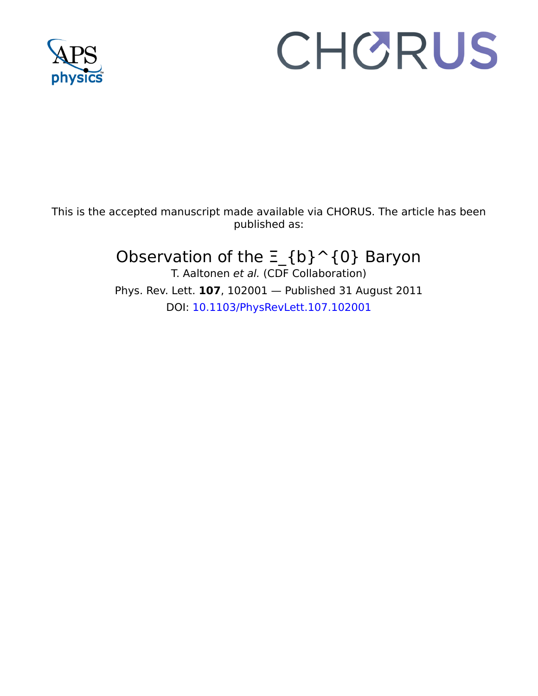

# CHORUS

This is the accepted manuscript made available via CHORUS. The article has been published as:

# Observation of the  $\Xi_{\alpha}$ {b} ^{0} Baryon

T. Aaltonen et al. (CDF Collaboration) Phys. Rev. Lett. **107**, 102001 — Published 31 August 2011 DOI: [10.1103/PhysRevLett.107.102001](http://dx.doi.org/10.1103/PhysRevLett.107.102001)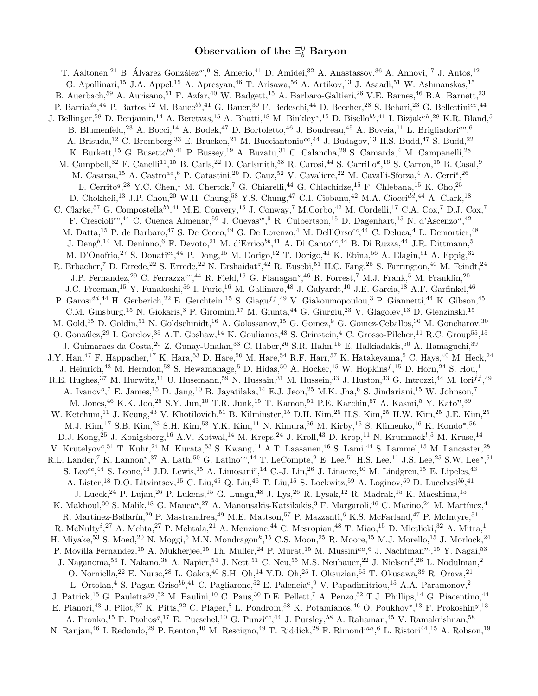### Observation of the  $\Xi_b^0$  Baryon

Compostella<sup>b6</sup>,<sup>41</sup> M.E. Convery,<sup>15</sup> J. Conway,<sup>7</sup> M.Corbo,<sup>42</sup> M.<br>
<sup>c</sup>,<sup>44</sup> C. Cuenca Almenar,<sup>59</sup> J. Cuevas<sup>*w*</sup>,<sup>9</sup> R. Culbertson,<sup>15</sup> D. I<br>
.de Barbaro,<sup>47</sup> S. De Cecco,<sup>49</sup> G. De Lorenzo,<sup>4</sup> M. Dell'Orso<sup>cc</sup>,<br>
41. Cosassa, A. Cosas,  $\mathbb{R}^3$ . Cosas,  $\mathbb{R}^3$ . Cosas,  $\mathbb{R}^3$ . Cosas,  $\mathbb{R}^3$ . Cosas,  $\mathbb{R}^3$ . Cosas,  $\mathbb{R}^3$ . Cosas,  $\mathbb{R}^3$ . Cosas,  $\mathbb{R}^3$ . Cosas,  $\mathbb{R}^3$ . Cosas,  $\mathbb{R}^3$ . Cosas,  $\mathbb{R}^3$ . T. Aaltonen,<sup>21</sup> B. Álvarez González<sup>w</sup>, <sup>9</sup> S. Amerio,<sup>41</sup> D. Amidei,<sup>32</sup> A. Anastassov, <sup>36</sup> A. Annovi, <sup>17</sup> J. Antos, <sup>12</sup> G. Apollinari,<sup>15</sup> J.A. Appel,<sup>15</sup> A. Apresyan,<sup>46</sup> T. Arisawa,<sup>56</sup> A. Artikov,<sup>13</sup> J. Asaadi,<sup>51</sup> W. Ashmanskas,<sup>15</sup> B. Auerbach,<sup>59</sup> A. Aurisano,<sup>51</sup> F. Azfar,<sup>40</sup> W. Badgett,<sup>15</sup> A. Barbaro-Galtieri,<sup>26</sup> V.E. Barnes,<sup>46</sup> B.A. Barnett,<sup>23</sup> P. Barria<sup>dd</sup>,<sup>44</sup> P. Bartos,<sup>12</sup> M. Bauce<sup>bb</sup>,<sup>41</sup> G. Bauer,<sup>30</sup> F. Bedeschi,<sup>44</sup> D. Beecher,<sup>28</sup> S. Behari,<sup>23</sup> G. Bellettini<sup>cc</sup>,<sup>44</sup> J. Bellinger,<sup>58</sup> D. Benjamin,<sup>14</sup> A. Beretvas,<sup>15</sup> A. Bhatti,<sup>48</sup> M. Binkley\*,<sup>15</sup> D. Bisello<sup>bb</sup>,<sup>41</sup> I. Bizjak<sup>hh</sup>,<sup>28</sup> K.R. Bland,<sup>5</sup> B. Blumenfeld,<sup>23</sup> A. Bocci,<sup>14</sup> A. Bodek,<sup>47</sup> D. Bortoletto,<sup>46</sup> J. Boudreau,<sup>45</sup> A. Boveia,<sup>11</sup> L. Brigliadori<sup>aa</sup>,<sup>6</sup> A. Brisuda,<sup>12</sup> C. Bromberg,<sup>33</sup> E. Brucken,<sup>21</sup> M. Bucciantonio<sup>cc</sup>,<sup>44</sup> J. Budagov,<sup>13</sup> H.S. Budd,<sup>47</sup> S. Budd,<sup>22</sup> K. Burkett,<sup>15</sup> G. Busetto<sup>bb</sup>,<sup>41</sup> P. Bussey,<sup>19</sup> A. Buzatu,<sup>31</sup> C. Calancha,<sup>29</sup> S. Camarda,<sup>4</sup> M. Campanelli,<sup>28</sup> M. Campbell,<sup>32</sup> F. Canelli<sup>11</sup>,<sup>15</sup> B. Carls,<sup>22</sup> D. Carlsmith,<sup>58</sup> R. Carosi,<sup>44</sup> S. Carrillo<sup>k</sup>,<sup>16</sup> S. Carron,<sup>15</sup> B. Casal,<sup>9</sup> M. Casarsa,<sup>15</sup> A. Castro<sup>aa</sup>, <sup>6</sup> P. Catastini,<sup>20</sup> D. Cauz,<sup>52</sup> V. Cavaliere,<sup>22</sup> M. Cavalli-Sforza,<sup>4</sup> A. Cerri<sup>e</sup>,<sup>26</sup> L. Cerrito<sup>q</sup>,<sup>28</sup> Y.C. Chen,<sup>1</sup> M. Chertok,<sup>7</sup> G. Chiarelli,<sup>44</sup> G. Chlachidze,<sup>15</sup> F. Chlebana,<sup>15</sup> K. Cho,<sup>25</sup> D. Chokheli,<sup>13</sup> J.P. Chou,<sup>20</sup> W.H. Chung,<sup>58</sup> Y.S. Chung,<sup>47</sup> C.I. Ciobanu,<sup>42</sup> M.A. Ciocci<sup>dd</sup>,<sup>44</sup> A. Clark,<sup>18</sup> C. Clarke,<sup>57</sup> G. Compostella<sup>bb</sup>,<sup>41</sup> M.E. Convery,<sup>15</sup> J. Conway,<sup>7</sup> M.Corbo,<sup>42</sup> M. Cordelli,<sup>17</sup> C.A. Cox,<sup>7</sup> D.J. Cox,<sup>7</sup> F. Crescioli<sup>cc</sup>,<sup>44</sup> C. Cuenca Almenar,<sup>59</sup> J. Cuevas<sup>w</sup>, <sup>9</sup> R. Culbertson,<sup>15</sup> D. Dagenhart,<sup>15</sup> N. d'Ascenzo<sup>u</sup>,<sup>42</sup> M. Datta,<sup>15</sup> P. de Barbaro,<sup>47</sup> S. De Cecco,<sup>49</sup> G. De Lorenzo,<sup>4</sup> M. Dell'Orso<sup>cc</sup>,<sup>44</sup> C. Deluca,<sup>4</sup> L. Demortier,<sup>48</sup> J. Deng<sup>b</sup>,<sup>14</sup> M. Deninno,<sup>6</sup> F. Devoto,<sup>21</sup> M. d'Errico<sup>bb</sup>,<sup>41</sup> A. Di Canto<sup>cc</sup>,<sup>44</sup> B. Di Ruzza,<sup>44</sup> J.R. Dittmann,<sup>5</sup> M. D'Onofrio,<sup>27</sup> S. Donati<sup>cc</sup>,<sup>44</sup> P. Dong,<sup>15</sup> M. Dorigo,<sup>52</sup> T. Dorigo,<sup>41</sup> K. Ebina,<sup>56</sup> A. Elagin,<sup>51</sup> A. Eppig,<sup>32</sup> R. Erbacher,<sup>7</sup> D. Errede,<sup>22</sup> S. Errede,<sup>22</sup> N. Ershaidat<sup>z</sup>,<sup>42</sup> R. Eusebi,<sup>51</sup> H.C. Fang,<sup>26</sup> S. Farrington,<sup>40</sup> M. Feindt,<sup>24</sup> J.P. Fernandez,<sup>29</sup> C. Ferrazza<sup>ee</sup>,<sup>44</sup> R. Field,<sup>16</sup> G. Flanagan<sup>s</sup>,<sup>46</sup> R. Forrest,<sup>7</sup> M.J. Frank,<sup>5</sup> M. Franklin,<sup>20</sup> J.C. Freeman,<sup>15</sup> Y. Funakoshi,<sup>56</sup> I. Furic,<sup>16</sup> M. Gallinaro,<sup>48</sup> J. Galyardt,<sup>10</sup> J.E. Garcia,<sup>18</sup> A.F. Garfinkel,<sup>46</sup> P. Garosi<sup>dd</sup>,<sup>44</sup> H. Gerberich,<sup>22</sup> E. Gerchtein,<sup>15</sup> S. Giagu<sup>ff</sup>,<sup>49</sup> V. Giakoumopoulou,<sup>3</sup> P. Giannetti,<sup>44</sup> K. Gibson,<sup>45</sup> C.M. Ginsburg,<sup>15</sup> N. Giokaris,<sup>3</sup> P. Giromini,<sup>17</sup> M. Giunta,<sup>44</sup> G. Giurgiu,<sup>23</sup> V. Glagolev,<sup>13</sup> D. Glenzinski,<sup>15</sup> M. Gold,<sup>35</sup> D. Goldin,<sup>51</sup> N. Goldschmidt,<sup>16</sup> A. Golossanov,<sup>15</sup> G. Gomez,<sup>9</sup> G. Gomez-Ceballos,<sup>30</sup> M. Goncharov,<sup>30</sup> O. González,<sup>29</sup> I. Gorelov,<sup>35</sup> A.T. Goshaw,<sup>14</sup> K. Goulianos,<sup>48</sup> S. Grinstein,<sup>4</sup> C. Grosso-Pilcher,<sup>11</sup> R.C. Group<sup>55</sup>,<sup>15</sup> J. Guimaraes da Costa, <sup>20</sup> Z. Gunay-Unalan, <sup>33</sup> C. Haber, <sup>26</sup> S.R. Hahn, <sup>15</sup> E. Halkiadakis, <sup>50</sup> A. Hamaguchi, <sup>39</sup> J.Y. Han,<sup>47</sup> F. Happacher,<sup>17</sup> K. Hara,<sup>53</sup> D. Hare,<sup>50</sup> M. Hare,<sup>54</sup> R.F. Harr,<sup>57</sup> K. Hatakeyama,<sup>5</sup> C. Hays,<sup>40</sup> M. Heck,<sup>24</sup> J. Heinrich,<sup>43</sup> M. Herndon,<sup>58</sup> S. Hewamanage,<sup>5</sup> D. Hidas,<sup>50</sup> A. Hocker,<sup>15</sup> W. Hopkins<sup>f</sup>,<sup>15</sup> D. Horn,<sup>24</sup> S. Hou,<sup>1</sup> R.E. Hughes,<sup>37</sup> M. Hurwitz,<sup>11</sup> U. Husemann,<sup>59</sup> N. Hussain,<sup>31</sup> M. Hussein,<sup>33</sup> J. Huston,<sup>33</sup> G. Introzzi,<sup>44</sup> M. Iori<sup>ff</sup>,<sup>49</sup> A. Ivanov<sup>o</sup>,<sup>7</sup> E. James,<sup>15</sup> D. Jang,<sup>10</sup> B. Jayatilaka,<sup>14</sup> E.J. Jeon,<sup>25</sup> M.K. Jha,<sup>6</sup> S. Jindariani,<sup>15</sup> W. Johnson,<sup>7</sup> M. Jones, <sup>46</sup> K.K. Joo, <sup>25</sup> S.Y. Jun, <sup>10</sup> T.R. Junk, <sup>15</sup> T. Kamon, <sup>51</sup> P.E. Karchin, <sup>57</sup> A. Kasmi, <sup>5</sup> Y. Kato<sup>n</sup>, <sup>39</sup> W. Ketchum,<sup>11</sup> J. Keung,<sup>43</sup> V. Khotilovich,<sup>51</sup> B. Kilminster,<sup>15</sup> D.H. Kim,<sup>25</sup> H.S. Kim,<sup>25</sup> H.W. Kim,<sup>25</sup> J.E. Kim,<sup>25</sup> M.J. Kim,<sup>17</sup> S.B. Kim,<sup>25</sup> S.H. Kim,<sup>53</sup> Y.K. Kim,<sup>11</sup> N. Kimura,<sup>56</sup> M. Kirby,<sup>15</sup> S. Klimenko,<sup>16</sup> K. Kondo\*,<sup>56</sup> D.J. Kong,<sup>25</sup> J. Konigsberg,<sup>16</sup> A.V. Kotwal,<sup>14</sup> M. Kreps,<sup>24</sup> J. Kroll,<sup>43</sup> D. Krop,<sup>11</sup> N. Krumnack<sup>1</sup>,<sup>5</sup> M. Kruse,<sup>14</sup> V. Krutelyov<sup>c</sup>,<sup>51</sup> T. Kuhr,<sup>24</sup> M. Kurata,<sup>53</sup> S. Kwang,<sup>11</sup> A.T. Laasanen,<sup>46</sup> S. Lami,<sup>44</sup> S. Lammel,<sup>15</sup> M. Lancaster,<sup>28</sup> R.L. Lander,<sup>7</sup> K. Lannon<sup>v</sup>,<sup>37</sup> A. Lath,<sup>50</sup> G. Latino<sup>cc</sup>,<sup>44</sup> T. LeCompte,<sup>2</sup> E. Lee,<sup>51</sup> H.S. Lee,<sup>11</sup> J.S. Lee,<sup>25</sup> S.W. Lee<sup>x</sup>,<sup>51</sup> S. Leo<sup>cc</sup>,<sup>44</sup> S. Leone,<sup>44</sup> J.D. Lewis,<sup>15</sup> A. Limosani<sup>r</sup>,<sup>14</sup> C.-J. Lin,<sup>26</sup> J. Linacre,<sup>40</sup> M. Lindgren,<sup>15</sup> E. Lipeles,<sup>43</sup> A. Lister,<sup>18</sup> D.O. Litvintsev,<sup>15</sup> C. Liu,<sup>45</sup> Q. Liu,<sup>46</sup> T. Liu,<sup>15</sup> S. Lockwitz,<sup>59</sup> A. Loginov,<sup>59</sup> D. Lucchesi<sup>bb</sup>,<sup>41</sup> J. Lueck,<sup>24</sup> P. Lujan,<sup>26</sup> P. Lukens,<sup>15</sup> G. Lungu,<sup>48</sup> J. Lys,<sup>26</sup> R. Lysak,<sup>12</sup> R. Madrak,<sup>15</sup> K. Maeshima,<sup>15</sup> K. Makhoul,<sup>30</sup> S. Malik,<sup>48</sup> G. Manca<sup>a</sup>,<sup>27</sup> A. Manousakis-Katsikakis,<sup>3</sup> F. Margaroli,<sup>46</sup> C. Marino,<sup>24</sup> M. Martínez,<sup>4</sup> R. Martínez-Ballarín,<sup>29</sup> P. Mastrandrea,<sup>49</sup> M.E. Mattson,<sup>57</sup> P. Mazzanti,<sup>6</sup> K.S. McFarland,<sup>47</sup> P. McIntyre,<sup>51</sup> R. McNulty<sup>i</sup>,<sup>27</sup> A. Mehta,<sup>27</sup> P. Mehtala,<sup>21</sup> A. Menzione,<sup>44</sup> C. Mesropian,<sup>48</sup> T. Miao,<sup>15</sup> D. Mietlicki,<sup>32</sup> A. Mitra,<sup>1</sup> H. Miyake,<sup>53</sup> S. Moed,<sup>20</sup> N. Moggi,<sup>6</sup> M.N. Mondragon<sup>k</sup>,<sup>15</sup> C.S. Moon,<sup>25</sup> R. Moore,<sup>15</sup> M.J. Morello,<sup>15</sup> J. Morlock,<sup>24</sup> P. Movilla Fernandez,<sup>15</sup> A. Mukherjee,<sup>15</sup> Th. Muller,<sup>24</sup> P. Murat,<sup>15</sup> M. Mussini<sup>aa</sup>,<sup>6</sup> J. Nachtman<sup>m</sup>,<sup>15</sup> Y. Nagai,<sup>53</sup> J. Naganoma,<sup>56</sup> I. Nakano,<sup>38</sup> A. Napier,<sup>54</sup> J. Nett,<sup>51</sup> C. Neu,<sup>55</sup> M.S. Neubauer,<sup>22</sup> J. Nielsen<sup>d</sup>,<sup>26</sup> L. Nodulman,<sup>2</sup> O. Norniella,  $2^2$  E. Nurse,  $2^8$  L. Oakes,  $4^0$  S.H. Oh,  $1^4$  Y.D. Oh,  $2^5$  I. Oksuzian,  $5^5$  T. Okusawa,  $3^9$  R. Orava,  $2^1$ L. Ortolan,<sup>4</sup> S. Pagan Griso<sup>bb</sup>,<sup>41</sup> C. Pagliarone,<sup>52</sup> E. Palencia<sup>e</sup>,<sup>9</sup> V. Papadimitriou,<sup>15</sup> A.A. Paramonov,<sup>2</sup> J. Patrick,<sup>15</sup> G. Pauletta<sup>gg</sup>,<sup>52</sup> M. Paulini,<sup>10</sup> C. Paus,<sup>30</sup> D.E. Pellett,<sup>7</sup> A. Penzo,<sup>52</sup> T.J. Phillips,<sup>14</sup> G. Piacentino,<sup>44</sup> E. Pianori,<sup>43</sup> J. Pilot,<sup>37</sup> K. Pitts,<sup>22</sup> C. Plager,<sup>8</sup> L. Pondrom,<sup>58</sup> K. Potamianos,<sup>46</sup> O. Poukhov<sup>\*</sup>,<sup>13</sup> F. Prokoshin<sup>y</sup>,<sup>13</sup> A. Pronko,<sup>15</sup> F. Ptohos<sup>g</sup>,<sup>17</sup> E. Pueschel,<sup>10</sup> G. Punzi<sup>cc</sup>,<sup>44</sup> J. Pursley,<sup>58</sup> A. Rahaman,<sup>45</sup> V. Ramakrishnan,<sup>58</sup> N. Ranjan,<sup>46</sup> I. Redondo,<sup>29</sup> P. Renton,<sup>40</sup> M. Rescigno,<sup>49</sup> T. Riddick,<sup>28</sup> F. Rimondi<sup>aa</sup>,<sup>6</sup> L. Ristori<sup>44</sup>,<sup>15</sup> A. Robson,<sup>19</sup>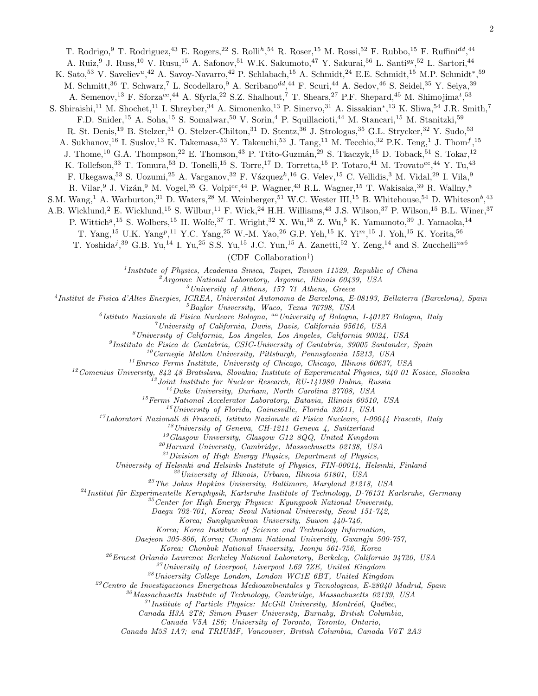T. Rodrigo, <sup>9</sup> T. Rodriguez, <sup>43</sup> E. Rogers, <sup>22</sup> S. Rolli<sup>h</sup>, <sup>54</sup> R. Roser, <sup>15</sup> M. Rossi, <sup>52</sup> F. Rubbo, <sup>15</sup> F. Ruffini<sup>dd</sup>, <sup>44</sup>

A. Ruiz,<sup>9</sup> J. Russ,<sup>10</sup> V. Rusu,<sup>15</sup> A. Safonov,<sup>51</sup> W.K. Sakumoto,<sup>47</sup> Y. Sakurai,<sup>56</sup> L. Santi<sup>gg</sup>,<sup>52</sup> L. Sartori,<sup>44</sup>

K. Sato,<sup>53</sup> V. Saveliev<sup>u</sup>,<sup>42</sup> A. Savoy-Navarro,<sup>42</sup> P. Schlabach,<sup>15</sup> A. Schmidt,<sup>24</sup> E.E. Schmidt,<sup>15</sup> M.P. Schmidt<sup>\*</sup>,<sup>59</sup>

M. Schmitt,<sup>36</sup> T. Schwarz,<sup>7</sup> L. Scodellaro,<sup>9</sup> A. Scribano<sup>dd</sup>,<sup>44</sup> F. Scuri,<sup>44</sup> A. Sedov,<sup>46</sup> S. Seidel,<sup>35</sup> Y. Seiya,<sup>39</sup>

A. Semenov,<sup>13</sup> F. Sforza<sup>cc</sup>,<sup>44</sup> A. Sfyrla,<sup>22</sup> S.Z. Shalhout,<sup>7</sup> T. Shears,<sup>27</sup> P.F. Shepard,<sup>45</sup> M. Shimojima<sup>t</sup>,<sup>53</sup>

S. Shiraishi,<sup>11</sup> M. Shochet,<sup>11</sup> I. Shreyber,<sup>34</sup> A. Simonenko,<sup>13</sup> P. Sinervo,<sup>31</sup> A. Sissakian<sup>\*</sup>,<sup>13</sup> K. Sliwa,<sup>54</sup> J.R. Smith,<sup>7</sup>

F.D. Snider,<sup>15</sup> A. Soha,<sup>15</sup> S. Somalwar,<sup>50</sup> V. Sorin,<sup>4</sup> P. Squillacioti,<sup>44</sup> M. Stancari,<sup>15</sup> M. Stanitzki,<sup>59</sup>

R. St. Denis,<sup>19</sup> B. Stelzer,<sup>31</sup> O. Stelzer-Chilton,<sup>31</sup> D. Stentz,<sup>36</sup> J. Strologas,<sup>35</sup> G.L. Strycker,<sup>32</sup> Y. Sudo,<sup>53</sup>

A. Sukhanov,<sup>16</sup> I. Suslov,<sup>13</sup> K. Takemasa,<sup>53</sup> Y. Takeuchi,<sup>53</sup> J. Tang,<sup>11</sup> M. Tecchio,<sup>32</sup> P.K. Teng,<sup>1</sup> J. Thom<sup>f</sup>,<sup>15</sup>

J. Thome,<sup>10</sup> G.A. Thompson,<sup>22</sup> E. Thomson,<sup>43</sup> P. Ttito-Guzmán,<sup>29</sup> S. Tkaczyk,<sup>15</sup> D. Toback,<sup>51</sup> S. Tokar,<sup>12</sup>

K. Tollefson,<sup>33</sup> T. Tomura,<sup>53</sup> D. Tonelli,<sup>15</sup> S. Torre,<sup>17</sup> D. Torretta,<sup>15</sup> P. Totaro,<sup>41</sup> M. Trovato<sup>ee</sup>,<sup>44</sup> Y. Tu,<sup>43</sup>

F. Ukegawa,<sup>53</sup> S. Uozumi,<sup>25</sup> A. Varganov,<sup>32</sup> F. Vázquez<sup>k</sup>,<sup>16</sup> G. Velev,<sup>15</sup> C. Vellidis,<sup>3</sup> M. Vidal,<sup>29</sup> I. Vila,<sup>9</sup>

R. Vilar,  $9$  J. Vizán,  $9$  M. Vogel,  $35$  G. Volpi<sup>cc</sup>,  $^{44}$  P. Wagner,  $^{43}$  R.L. Wagner,  $^{15}$  T. Wakisaka,  $^{39}$  R. Wallny,  $^8$ 

S.M. Wang,<sup>1</sup> A. Warburton,<sup>31</sup> D. Waters,<sup>28</sup> M. Weinberger,<sup>51</sup> W.C. Wester III,<sup>15</sup> B. Whitehouse,<sup>54</sup> D. Whiteson<sup>b</sup>,<sup>43</sup>

A.B. Wicklund,<sup>2</sup> E. Wicklund,<sup>15</sup> S. Wilbur,<sup>11</sup> F. Wick,<sup>24</sup> H.H. Williams,<sup>43</sup> J.S. Wilson,<sup>37</sup> P. Wilson,<sup>15</sup> B.L. Winer,<sup>37</sup>

P. Wittich<sup>g<sub>, 15</sub> S. Wolbers, <sup>15</sup> H. Wolfe, <sup>37</sup> T. Wright, <sup>32</sup> X. Wu, <sup>18</sup> Z. Wu, <sup>5</sup> K. Yamamoto, <sup>39</sup> J. Yamaoka, <sup>14</sup></sup>

T. Yang,<sup>15</sup> U.K. Yang<sup>p</sup>,<sup>11</sup> Y.C. Yang,<sup>25</sup> W.-M. Yao,<sup>26</sup> G.P. Yeh,<sup>15</sup> K. Yi<sup>m</sup>,<sup>15</sup> J. Yoh,<sup>15</sup> K. Yorita,<sup>56</sup>

T. Yoshida<sup>j</sup>,<sup>39</sup> G.B. Yu,<sup>14</sup> I. Yu,<sup>25</sup> S.S. Yu,<sup>15</sup> J.C. Yun,<sup>15</sup> A. Zanetti,<sup>52</sup> Y. Zeng,<sup>14</sup> and S. Zucchelli<sup>aa6</sup>

(CDF Collaboration† )

1 *Institute of Physics, Academia Sinica, Taipei, Taiwan 11529, Republic of China*

<sup>2</sup>*Argonne National Laboratory, Argonne, Illinois 60439, USA*

<sup>3</sup>*University of Athens, 157 71 Athens, Greece*

4 *Institut de Fisica d'Altes Energies, ICREA, Universitat Autonoma de Barcelona, E-08193, Bellaterra (Barcelona), Spain*

<sup>5</sup>*Baylor University, Waco, Texas 76798, USA*

6 *Istituto Nazionale di Fisica Nucleare Bologna,* aa*University of Bologna, I-40127 Bologna, Italy*

<sup>7</sup>*University of California, Davis, Davis, California 95616, USA*

<sup>8</sup>*University of California, Los Angeles, Los Angeles, California 90024, USA*

9 *Instituto de Fisica de Cantabria, CSIC-University of Cantabria, 39005 Santander, Spain*

<sup>10</sup>*Carnegie Mellon University, Pittsburgh, Pennsylvania 15213, USA*

<sup>11</sup>*Enrico Fermi Institute, University of Chicago, Chicago, Illinois 60637, USA*

<sup>12</sup>*Comenius University, 842 48 Bratislava, Slovakia; Institute of Experimental Physics, 040 01 Kosice, Slovakia*

<sup>13</sup>*Joint Institute for Nuclear Research, RU-141980 Dubna, Russia*

<sup>14</sup>*Duke University, Durham, North Carolina 27708, USA*

<sup>15</sup>*Fermi National Accelerator Laboratory, Batavia, Illinois 60510, USA*

<sup>16</sup>*University of Florida, Gainesville, Florida 32611, USA*

<sup>17</sup>*Laboratori Nazionali di Frascati, Istituto Nazionale di Fisica Nucleare, I-00044 Frascati, Italy*

<sup>18</sup>*University of Geneva, CH-1211 Geneva 4, Switzerland*

<sup>19</sup>*Glasgow University, Glasgow G12 8QQ, United Kingdom*

<sup>20</sup>*Harvard University, Cambridge, Massachusetts 02138, USA*

<sup>21</sup>*Division of High Energy Physics, Department of Physics,*

*University of Helsinki and Helsinki Institute of Physics, FIN-00014, Helsinki, Finland*

<sup>22</sup>*University of Illinois, Urbana, Illinois 61801, USA*

<sup>23</sup>*The Johns Hopkins University, Baltimore, Maryland 21218, USA*

<sup>24</sup>*Institut für Experimentelle Kernphysik, Karlsruhe Institute of Technology, D-76131 Karlsruhe, Germany* 

<sup>25</sup>*Center for High Energy Physics: Kyungpook National University,*

*Daegu 702-701, Korea; Seoul National University, Seoul 151-742,*

*Korea; Sungkyunkwan University, Suwon 440-746,*

*Korea; Korea Institute of Science and Technology Information,*

*Daejeon 305-806, Korea; Chonnam National University, Gwangju 500-757,*

*Korea; Chonbuk National University, Jeonju 561-756, Korea*

<sup>26</sup>*Ernest Orlando Lawrence Berkeley National Laboratory, Berkeley, California 94720, USA*

<sup>27</sup>*University of Liverpool, Liverpool L69 7ZE, United Kingdom*

<sup>28</sup>*University College London, London WC1E 6BT, United Kingdom*

<sup>29</sup>*Centro de Investigaciones Energeticas Medioambientales y Tecnologicas, E-28040 Madrid, Spain*

<sup>30</sup>*Massachusetts Institute of Technology, Cambridge, Massachusetts 02139, USA*

<sup>31</sup> Institute of Particle Physics: McGill University, Montréal, Québec,

*Canada H3A 2T8; Simon Fraser University, Burnaby, British Columbia,*

*Canada V5A 1S6; University of Toronto, Toronto, Ontario,*

*Canada M5S 1A7; and TRIUMF, Vancouver, British Columbia, Canada V6T 2A3*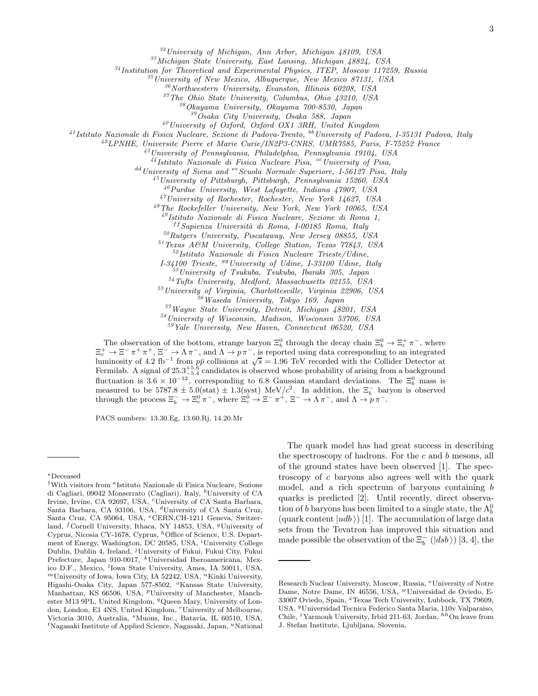<sup>32</sup>*University of Michigan, Ann Arbor, Michigan 48109, USA*

<sup>33</sup>*Michigan State University, East Lansing, Michigan 48824, USA*

<sup>34</sup>*Institution for Theoretical and Experimental Physics, ITEP, Moscow 117259, Russia*

<sup>35</sup>*University of New Mexico, Albuquerque, New Mexico 87131, USA*

<sup>36</sup>*Northwestern University, Evanston, Illinois 60208, USA*

<sup>37</sup>*The Ohio State University, Columbus, Ohio 43210, USA*

<sup>38</sup>*Okayama University, Okayama 700-8530, Japan*

<sup>39</sup>*Osaka City University, Osaka 588, Japan*

<sup>40</sup>*University of Oxford, Oxford OX1 3RH, United Kingdom*

<sup>41</sup>*Istituto Nazionale di Fisica Nucleare, Sezione di Padova-Trento,* bb*University of Padova, I-35131 Padova, Italy*

<sup>42</sup>*LPNHE, Universite Pierre et Marie Curie/IN2P3-CNRS, UMR7585, Paris, F-75252 France*

<sup>43</sup>*University of Pennsylvania, Philadelphia, Pennsylvania 19104, USA*

<sup>44</sup>*Istituto Nazionale di Fisica Nucleare Pisa,* cc*University of Pisa,*

dd*University of Siena and* ee*Scuola Normale Superiore, I-56127 Pisa, Italy*

<sup>45</sup>*University of Pittsburgh, Pittsburgh, Pennsylvania 15260, USA*

<sup>46</sup>*Purdue University, West Lafayette, Indiana 47907, USA*

<sup>47</sup>*University of Rochester, Rochester, New York 14627, USA*

<sup>48</sup>*The Rockefeller University, New York, New York 10065, USA*

<sup>49</sup>*Istituto Nazionale di Fisica Nucleare, Sezione di Roma 1,*

f f *Sapienza Universit`a di Roma, I-00185 Roma, Italy*

<sup>50</sup>*Rutgers University, Piscataway, New Jersey 08855, USA*

<sup>51</sup>*Texas A&M University, College Station, Texas 77843, USA*

<sup>52</sup>*Istituto Nazionale di Fisica Nucleare Trieste/Udine,*

*I-34100 Trieste,* gg*University of Udine, I-33100 Udine, Italy*

<sup>53</sup>*University of Tsukuba, Tsukuba, Ibaraki 305, Japan*

<sup>54</sup>*Tufts University, Medford, Massachusetts 02155, USA*

<sup>55</sup>*University of Virginia, Charlottesville, Virginia 22906, USA*

<sup>56</sup>*Waseda University, Tokyo 169, Japan*

<sup>57</sup>*Wayne State University, Detroit, Michigan 48201, USA*

<sup>58</sup>*University of Wisconsin, Madison, Wisconsin 53706, USA*

<sup>59</sup>*Yale University, New Haven, Connecticut 06520, USA*

The observation of the bottom, strange baryon  $\Xi_b^0$  through the decay chain  $\Xi_b^0 \to \Xi_c^+ \pi^-$ , where The observation of the bottom, strange baryon  $\Xi_b^0$  through the decay chain  $\Xi_b^0 \to \Xi_c^+ \pi^-$ , where  $\Xi_c^+ \to \Xi^- \pi^+ \pi^+$ ,  $\Xi^- \to \Lambda \pi^-$ , and  $\Lambda \to p \pi^-$ , is reported using data corresponding to an integrated luminosity o Fermilab. A signal of  $25.3^{+5.6}_{-5.4}$  candidates is observed whose probability of arising from a background fluctuation is  $3.6 \times 10^{-12}$ , corresponding to 6.8 Gaussian standard deviations. The  $\Xi_b^0$  mass is measured to be  $5787.8 \pm 5.0(\text{stat}) \pm 1.3(\text{syst})$  MeV/ $c^2$ . In addition, the  $\Xi_b^-$  baryon is observed through the process  $\Xi_b^- \to \Xi_c^0 \pi^-$ , where  $\Xi_c^0 \to \Xi^- \pi^+$ ,  $\Xi^- \to \Lambda \pi^-$ , and  $\Lambda \to p \pi^-$ .

PACS numbers: 13.30.Eg, 13.60.Rj, 14.20.Mr

The quark model has had great success in describing the spectroscopy of hadrons. For the c and b mesons, all of the ground states have been observed [1]. The spectroscopy of c baryons also agrees well with the quark model, and a rich spectrum of baryons containing b quarks is predicted [2]. Until recently, direct observation of b baryons has been limited to a single state, the  $\Lambda_b^0$ (quark content  $|udb\rangle$ ) [1]. The accumulation of large data sets from the Tevatron has improved this situation and made possible the observation of the  $\Xi_b^-\ (|dsb\rangle)$  [3, 4], the

<sup>∗</sup>Deceased

<sup>&</sup>lt;sup>†</sup>With visitors from <sup>a</sup>Istituto Nazionale di Fisica Nucleare, Sezione di Cagliari, 09042 Monserrato (Cagliari), Italy, <sup>b</sup>University of CA Irvine, Irvine, CA 92697, USA, <sup>c</sup>University of CA Santa Barbara, Santa Barbara, CA 93106, USA, <sup>d</sup>University of CA Santa Cruz, Santa Cruz, CA 95064, USA, <sup>e</sup>CERN,CH-1211 Geneva, Switzerland, <sup>f</sup>Cornell University, Ithaca, NY 14853, USA, <sup>g</sup>University of Cyprus, Nicosia CY-1678, Cyprus, <sup>h</sup>Office of Science, U.S. Department of Energy, Washington, DC 20585, USA, <sup>*i*</sup>University College Dublin, Dublin 4, Ireland, <sup>j</sup>University of Fukui, Fukui City, Fukui Prefecture, Japan 910-0017, <sup>k</sup>Universidad Iberoamericana, Mexico D.F., Mexico, <sup>l</sup>Iowa State University, Ames, IA 50011, USA,  $<sup>m</sup>$ University of Iowa, Iowa City, IA 52242, USA,  $<sup>n</sup>$ Kinki University,</sup></sup> Higashi-Osaka City, Japan 577-8502, <sup>o</sup>Kansas State University, Manhattan, KS 66506, USA, <sup>p</sup>University of Manchester, Manchester M13 9PL, United Kingdom, <sup>q</sup>Queen Mary, University of London, London, E1 4NS, United Kingdom, "University of Melbourne, Victoria 3010, Australia, <sup>s</sup>Muons, Inc., Batavia, IL 60510, USA,  $t$ Nagasaki Institute of Applied Science, Nagasaki, Japan, "National

Research Nuclear University, Moscow, Russia, "University of Notre Dame, Notre Dame, IN 46556, USA, <sup>w</sup>Universidad de Oviedo, E-33007 Oviedo, Spain, <sup>x</sup>Texas Tech University, Lubbock, TX 79609, USA, <sup>y</sup>Universidad Tecnica Federico Santa Maria, 110v Valparaiso, Chile, <sup>z</sup>Yarmouk University, Irbid 211-63, Jordan, <sup>hh</sup>On leave from J. Stefan Institute, Ljubljana, Slovenia,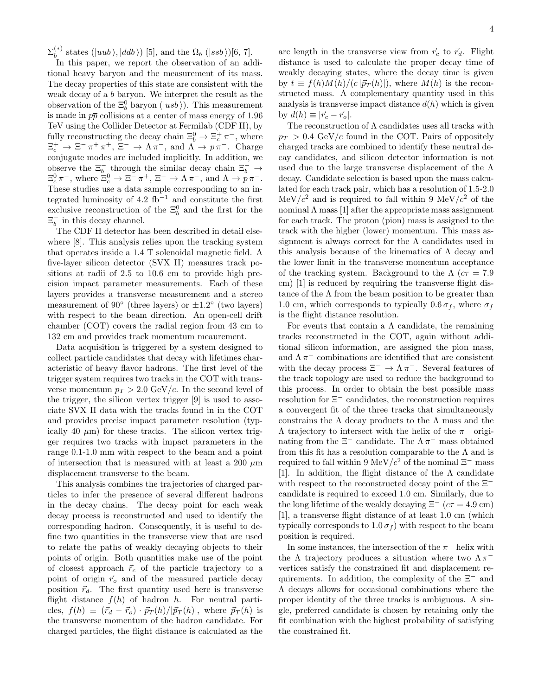$\Sigma_b^{(*)}$  states  $(|uub \rangle, |ddb \rangle)$  [5], and the  $\Omega_b$   $(|ssb \rangle)$ [6, 7].

In this paper, we report the observation of an additional heavy baryon and the measurement of its mass. The decay properties of this state are consistent with the weak decay of a b baryon. We interpret the result as the observation of the  $\Xi_b^0$  baryon  $(|\overline{u} s \overline{b})$ . This measurement is made in  $p\bar{p}$  collisions at a center of mass energy of 1.96 TeV using the Collider Detector at Fermilab (CDF II), by fully reconstructing the decay chain  $\Xi_b^0 \to \Xi_c^+ \pi^-$ , where  $\Xi_c^+ \to \Xi^- \pi^+ \pi^+, \Xi^- \to \Lambda \pi^-, \text{ and } \Lambda \to p \pi^-. \text{ Charge}$ conjugate modes are included implicitly. In addition, we observe the  $\Xi_b^-$  through the similar decay chain  $\Xi_b^ \to$  $\Xi_c^0 \pi^-$ , where  $\Xi_c^0 \to \Xi^- \pi^+$ ,  $\Xi^- \to \Lambda \pi^-$ , and  $\Lambda \to p \pi^-$ . These studies use a data sample corresponding to an integrated luminosity of  $4.2 \text{ fb}^{-1}$  and constitute the first exclusive reconstruction of the  $\Xi_b^0$  and the first for the  $\Xi_b^-$  in this decay channel.

The CDF II detector has been described in detail elsewhere [8]. This analysis relies upon the tracking system that operates inside a 1.4 T solenoidal magnetic field. A five-layer silicon detector (SVX II) measures track positions at radii of 2.5 to 10.6 cm to provide high precision impact parameter measurements. Each of these layers provides a transverse measurement and a stereo measurement of  $90^{\circ}$  (three layers) or  $\pm 1.2^{\circ}$  (two layers) with respect to the beam direction. An open-cell drift chamber (COT) covers the radial region from 43 cm to 132 cm and provides track momentum meaurement.

Data acquisition is triggered by a system designed to collect particle candidates that decay with lifetimes characteristic of heavy flavor hadrons. The first level of the trigger system requires two tracks in the COT with transverse momentum  $p_T > 2.0$  GeV/c. In the second level of the trigger, the silicon vertex trigger [9] is used to associate SVX II data with the tracks found in in the COT and provides precise impact parameter resolution (typically 40  $\mu$ m) for these tracks. The silicon vertex trigger requires two tracks with impact parameters in the range 0.1-1.0 mm with respect to the beam and a point of intersection that is measured with at least a 200  $\mu$ m displacement transverse to the beam.

This analysis combines the trajectories of charged particles to infer the presence of several different hadrons in the decay chains. The decay point for each weak decay process is reconstructed and used to identify the corresponding hadron. Consequently, it is useful to define two quantities in the transverse view that are used to relate the paths of weakly decaying objects to their points of origin. Both quantities make use of the point of closest approach  $\vec{r}_c$  of the particle trajectory to a point of origin  $\vec{r}_o$  and of the measured particle decay position  $\vec{r}_d$ . The first quantity used here is transverse flight distance  $f(h)$  of hadron h. For neutral particles,  $f(h) \equiv (\vec{r}_d - \vec{r}_o) \cdot \vec{p}_T(h) / |\vec{p}_T(h)|$ , where  $\vec{p}_T(h)$  is the transverse momentum of the hadron candidate. For charged particles, the flight distance is calculated as the

arc length in the transverse view from  $\vec{r}_c$  to  $\vec{r}_d$ . Flight distance is used to calculate the proper decay time of weakly decaying states, where the decay time is given by  $t \equiv f(h)M(h)/(c|\vec{p}_T(h)|)$ , where  $M(h)$  is the reconstructed mass. A complementary quantity used in this analysis is transverse impact distance  $d(h)$  which is given by  $d(h) \equiv |\vec{r}_c - \vec{r}_o|$ .

The reconstruction of  $\Lambda$  candidates uses all tracks with  $p_T > 0.4$  GeV/c found in the COT. Pairs of oppositely charged tracks are combined to identify these neutral decay candidates, and silicon detector information is not used due to the large transverse displacement of the  $\Lambda$ decay. Candidate selection is based upon the mass calculated for each track pair, which has a resolution of 1.5-2.0  $\text{MeV}/c^2$  and is required to fall within 9 MeV/ $c^2$  of the nominal  $\Lambda$  mass [1] after the appropriate mass assignment for each track. The proton (pion) mass is assigned to the track with the higher (lower) momentum. This mass assignment is always correct for the  $\Lambda$  candidates used in this analysis because of the kinematics of  $\Lambda$  decay and the lower limit in the transverse momentum acceptance of the tracking system. Background to the  $\Lambda$  ( $c\tau = 7.9$ ) cm) [1] is reduced by requiring the transverse flight distance of the  $\Lambda$  from the beam position to be greater than 1.0 cm, which corresponds to typically  $0.6 \sigma_f$ , where  $\sigma_f$ is the flight distance resolution.

For events that contain a  $\Lambda$  candidate, the remaining tracks reconstructed in the COT, again without additional silicon information, are assigned the pion mass, and  $\Lambda \, \pi^-$  combinations are identified that are consistent with the decay process  $\Xi^- \to \Lambda \pi^-$ . Several features of the track topology are used to reduce the background to this process. In order to obtain the best possible mass resolution for Ξ<sup>−</sup> candidates, the reconstruction requires a convergent fit of the three tracks that simultaneously constrains the  $\Lambda$  decay products to the  $\Lambda$  mass and the  $Λ$  trajectory to intersect with the helix of the  $π$ <sup>-</sup> originating from the  $\Xi^-$  candidate. The  $\Lambda \pi^-$  mass obtained from this fit has a resolution comparable to the  $\Lambda$  and is required to fall within 9 MeV/ $c^2$  of the nominal  $\Xi^-$  mass [1]. In addition, the flight distance of the  $\Lambda$  candidate with respect to the reconstructed decay point of the  $Xi^$ candidate is required to exceed 1.0 cm. Similarly, due to the long lifetime of the weakly decaying  $\Xi^-$  ( $c\tau = 4.9$  cm) [1], a transverse flight distance of at least 1.0 cm (which typically corresponds to  $1.0 \sigma_f$ ) with respect to the beam position is required.

In some instances, the intersection of the  $\pi^-$  helix with the  $\Lambda$  trajectory produces a situation where two  $\Lambda \pi^$ vertices satisfy the constrained fit and displacement requirements. In addition, the complexity of the  $\Xi^-$  and Λ decays allows for occasional combinations where the proper identity of the three tracks is ambiguous. A single, preferred candidate is chosen by retaining only the fit combination with the highest probability of satisfying the constrained fit.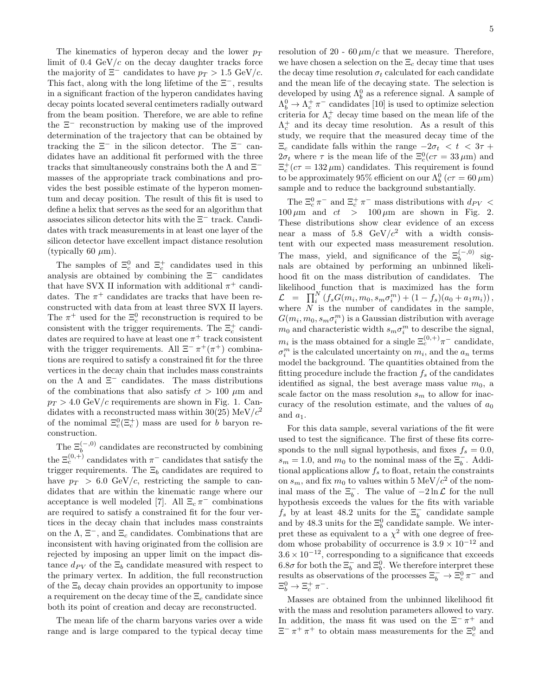The kinematics of hyperon decay and the lower  $p_T$ limit of 0.4  $GeV/c$  on the decay daughter tracks force the majority of  $\Xi^-$  candidates to have  $p_T > 1.5 \text{ GeV}/c$ . This fact, along with the long lifetime of the  $\Xi^-$ , results in a significant fraction of the hyperon candidates having decay points located several centimeters radially outward from the beam position. Therefore, we are able to refine the Ξ<sup>−</sup> reconstruction by making use of the improved determination of the trajectory that can be obtained by tracking the  $\Xi^-$  in the silicon detector. The  $\Xi^-$  candidates have an additional fit performed with the three tracks that simultaneously constrains both the  $\Lambda$  and  $\Xi^$ masses of the appropriate track combinations and provides the best possible estimate of the hyperon momentum and decay position. The result of this fit is used to define a helix that serves as the seed for an algorithm that associates silicon detector hits with the Ξ<sup>−</sup> track. Candidates with track measurements in at least one layer of the silicon detector have excellent impact distance resolution (typically 60  $\mu$ m).

The samples of  $\Xi_c^0$  and  $\Xi_c^+$  candidates used in this analysis are obtained by combining the  $\Xi^-$  candidates that have SVX II information with additional  $\pi^+$  candidates. The  $\pi^+$  candidates are tracks that have been reconstructed with data from at least three SVX II layers. The  $\pi^+$  used for the  $\Xi_c^0$  reconstruction is required to be consistent with the trigger requirements. The  $\Xi_c^+$  candidates are required to have at least one  $\pi^+$  track consistent with the trigger requirements. All  $\Xi^- \pi^+ (\pi^+)$  combinations are required to satisfy a constrained fit for the three vertices in the decay chain that includes mass constraints on the  $\Lambda$  and  $\Xi^-$  candidates. The mass distributions of the combinations that also satisfy  $ct > 100 \mu m$  and  $p_T > 4.0 \text{ GeV}/c$  requirements are shown in Fig. 1. Candidates with a reconstructed mass within 30(25) MeV/ $c^2$ of the nomimal  $\Xi_c^0(\Xi_c^+)$  mass are used for b baryon reconstruction.

The  $\Xi_b^{(-,0)}$  candidates are reconstructed by combining the  $\Xi_c^{(0,+)}$  candidates with  $\pi^-$  candidates that satisfy the trigger requirements. The  $\Xi_b$  candidates are required to have  $p_T > 6.0$  GeV/c, restricting the sample to candidates that are within the kinematic range where our acceptance is well modeled [7]. All  $\Xi_c \pi^-$  combinations are required to satisfy a constrained fit for the four vertices in the decay chain that includes mass constraints on the  $\Lambda$ ,  $\Xi^-$ , and  $\Xi_c$  candidates. Combinations that are inconsistent with having originated from the collision are rejected by imposing an upper limit on the impact distance  $d_{PV}$  of the  $\Xi_b$  candidate measured with respect to the primary vertex. In addition, the full reconstruction of the  $\Xi_b$  decay chain provides an opportunity to impose a requirement on the decay time of the  $\Xi_c$  candidate since both its point of creation and decay are reconstructed.

The mean life of the charm baryons varies over a wide range and is large compared to the typical decay time resolution of 20 - 60  $\mu$ m/c that we measure. Therefore, we have chosen a selection on the  $\Xi_c$  decay time that uses the decay time resolution  $\sigma_t$  calculated for each candidate and the mean life of the decaying state. The selection is developed by using  $\Lambda_b^0$  as a reference signal. A sample of  $\Lambda_b^0 \to \Lambda_c^+ \, \pi^-$  candidates [10] is used to optimize selection criteria for  $\Lambda_c^+$  decay time based on the mean life of the  $\Lambda_c^+$  and its decay time resolution. As a result of this study, we require that the measured decay time of the  $\Xi_c$  candidate falls within the range  $-2\sigma_t < t < 3\tau$  +  $2\sigma_t$  where  $\tau$  is the mean life of the  $\Xi_c^0(c\tau = 33 \,\mu\text{m})$  and  $\Xi_c^+(c\tau = 132 \,\mu\text{m})$  candidates. This requirement is found to be approximately 95% efficient on our  $\Lambda_b^0$  ( $c\tau = 60\,\mu\text{m}$ ) sample and to reduce the background substantially.

The  $\Xi_c^0 \pi^-$  and  $\Xi_c^+ \pi^-$  mass distributions with  $d_{PV}$  <  $100 \,\mu \text{m}$  and  $ct$  >  $100 \,\mu \text{m}$  are shown in Fig. 2. These distributions show clear evidence of an excess near a mass of 5.8  $\text{GeV}/c^2$  with a width consistent with our expected mass measurement resolution. The mass, yield, and significance of the  $\Xi_b^{(-,0)}$  signals are obtained by performing an unbinned likelihood fit on the mass distribution of candidates. The likelihood function that is maximized has the form  $\mathcal{L} = \prod_i^N (f_s G(m_i, m_0, s_m \sigma_i^m) + (1 - f_s)(a_0 + a_1 m_i)),$ where  $N$  is the number of candidates in the sample,  $G(m_i, m_0, s_m \sigma_i^m)$  is a Gaussian distribution with average  $m_0$  and characteristic width  $s_m \sigma_i^m$  to describe the signal,  $m_i$  is the mass obtained for a single  $\Xi_c^{(0, +)} \pi^-$  candidate,  $\sigma_i^m$  is the calculated uncertainty on  $m_i$ , and the  $a_n$  terms model the background. The quantities obtained from the fitting procedure include the fraction  $f_s$  of the candidates identified as signal, the best average mass value  $m_0$ , a scale factor on the mass resolution  $s_m$  to allow for inaccuracy of the resolution estimate, and the values of  $a_0$ and  $a_1$ .

For this data sample, several variations of the fit were used to test the significance. The first of these fits corresponds to the null signal hypothesis, and fixes  $f_s = 0.0$ ,  $s_m = 1.0$ , and  $m_0$  to the nominal mass of the  $\Xi_b^-$ . Additional applications allow  $f_s$  to float, retain the constraints on  $s_m$ , and fix  $m_0$  to values within 5 MeV/ $c^2$  of the nominal mass of the  $\Xi_b^-$ . The value of  $-2 \ln \mathcal{L}$  for the null hypothesis exceeds the values for the fits with variable  $f_s$  by at least 48.2 units for the  $\Xi_b^-$  candidate sample and by 48.3 units for the  $\Xi_b^0$  candidate sample. We interpret these as equivalent to a  $\chi^2$  with one degree of freedom whose probability of occurrence is  $3.9 \times 10^{-12}$  and  $3.6 \times 10^{-12}$ , corresponding to a significance that exceeds 6.8 $\sigma$  for both the  $\Xi_b^-$  and  $\Xi_b^0$ . We therefore interpret these results as observations of the processes  $\Xi_b^- \to \Xi_c^0 \pi^-$  and  $\Xi_b^0 \rightarrow \Xi_c^+ \pi^-$ .

Masses are obtained from the unbinned likelihood fit with the mass and resolution parameters allowed to vary. In addition, the mass fit was used on the  $\Xi^- \pi^+$  and  $\Xi^- \pi^+ \pi^+$  to obtain mass measurements for the  $\Xi_c^0$  and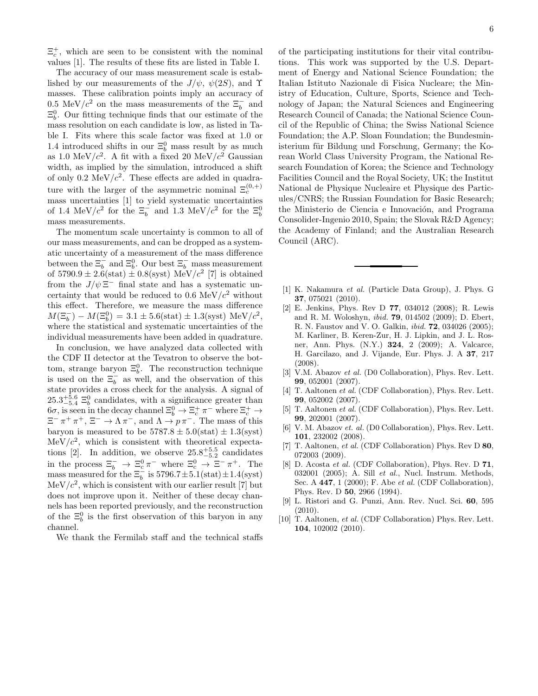$\Xi_c^+$ , which are seen to be consistent with the nominal values [1]. The results of these fits are listed in Table I.

The accuracy of our mass measurement scale is established by our measurements of the  $J/\psi$ ,  $\psi(2S)$ , and  $\Upsilon$ masses. These calibration points imply an accuracy of 0.5 MeV/ $c^2$  on the mass measurements of the  $\Xi_b^-$  and  $\Xi_b^0$ . Our fitting technique finds that our estimate of the mass resolution on each candidate is low, as listed in Table I. Fits where this scale factor was fixed at 1.0 or 1.4 introduced shifts in our  $\Xi_b^0$  mass result by as much as 1.0 MeV/ $c^2$ . A fit with a fixed 20 MeV/ $c^2$  Gaussian width, as implied by the simulation, introduced a shift of only 0.2 MeV $/c^2$ . These effects are added in quadrature with the larger of the asymmetric nominal  $\Xi_c^{(0, +)}$ mass uncertainties [1] to yield systematic uncertainties of 1.4 MeV/ $c^2$  for the  $\Xi_b^-$  and 1.3 MeV/ $c^2$  for the  $\Xi_b^0$ mass measurements.

The momentum scale uncertainty is common to all of our mass measurements, and can be dropped as a systematic uncertainty of a measurement of the mass difference between the  $\Xi_b^-$  and  $\Xi_b^0$ . Our best  $\Xi_b^-$  mass measurement of  $5790.9 \pm 2.6$ (stat)  $\pm 0.8$ (syst) MeV/ $c^2$  [7] is obtained from the  $J/\psi \, \Xi^-$  final state and has a systematic uncertainty that would be reduced to  $0.6 \text{ MeV}/c^2$  without this effect. Therefore, we measure the mass difference  $M(\Xi_b^-) - M(\Xi_b^0) = 3.1 \pm 5.6 \text{(stat)} \pm 1.3 \text{(syst)} \text{ MeV}/c^2,$ where the statistical and systematic uncertainties of the individual measurements have been added in quadrature.

In conclusion, we have analyzed data collected with the CDF II detector at the Tevatron to observe the bottom, strange baryon  $\Xi_b^0$ . The reconstruction technique is used on the  $\Xi_b^-$  as well, and the observation of this state provides a cross check for the analysis. A signal of  $25.3^{+5.6}_{-5.4}$   $\Xi_b^0$  candidates, with a significance greater than  $6\sigma$ , is seen in the decay channel  $\Xi_b^0 \to \Xi_c^+ \, \pi^-$  where  $\Xi_c^+ \to$  $\Xi^- \pi^+ \pi^+, \Xi^- \to \Lambda \pi^-,$  and  $\Lambda \to p \pi^-$ . The mass of this baryon is measured to be  $5787.8 \pm 5.0(\text{stat}) \pm 1.3(\text{syst})$  $\text{MeV}/c^2$ , which is consistent with theoretical expectations [2]. In addition, we observe  $25.8^{+5.5}_{-5.2}$  candidates in the process  $\Xi_b^- \to \Xi_c^0 \pi^-$  where  $\Xi_c^0 \to \Xi^- \pi^+$ . The mass measured for the  $\Xi_b^-$  is 5796.7 $\pm$ 5.1(stat) $\pm$ 1.4(syst)  $\text{MeV}/c^2$ , which is consistent with our earlier result [7] but does not improve upon it. Neither of these decay channels has been reported previously, and the reconstruction of the  $\Xi_b^0$  is the first observation of this baryon in any channel.

We thank the Fermilab staff and the technical staffs

of the participating institutions for their vital contributions. This work was supported by the U.S. Department of Energy and National Science Foundation; the Italian Istituto Nazionale di Fisica Nucleare; the Ministry of Education, Culture, Sports, Science and Technology of Japan; the Natural Sciences and Engineering Research Council of Canada; the National Science Council of the Republic of China; the Swiss National Science Foundation; the A.P. Sloan Foundation; the Bundesministerium für Bildung und Forschung, Germany; the Korean World Class University Program, the National Research Foundation of Korea; the Science and Technology Facilities Council and the Royal Society, UK; the Institut National de Physique Nucleaire et Physique des Particules/CNRS; the Russian Foundation for Basic Research; the Ministerio de Ciencia e Innovación, and Programa Consolider-Ingenio 2010, Spain; the Slovak R&D Agency; the Academy of Finland; and the Australian Research Council (ARC).

- [1] K. Nakamura *et al.* (Particle Data Group), J. Phys. G 37, 075021 (2010).
- [2] E. Jenkins, Phys. Rev D 77, 034012 (2008); R. Lewis and R. M. Woloshyn, *ibid.* 79, 014502 (2009); D. Ebert, R. N. Faustov and V. O. Galkin, *ibid.* 72, 034026 (2005); M. Karliner, B. Keren-Zur, H. J. Lipkin, and J. L. Rosner, Ann. Phys. (N.Y.) 324, 2 (2009); A. Valcarce, H. Garcilazo, and J. Vijande, Eur. Phys. J. A 37, 217 (2008).
- [3] V.M. Abazov *et al.* (D0 Collaboration), Phys. Rev. Lett. 99, 052001 (2007).
- [4] T. Aaltonen *et al.* (CDF Collaboration), Phys. Rev. Lett. 99, 052002 (2007).
- [5] T. Aaltonen *et al.* (CDF Collaboration), Phys. Rev. Lett. 99, 202001 (2007).
- [6] V. M. Abazov *et. al.* (D0 Collaboration), Phys. Rev. Lett. 101, 232002 (2008).
- [7] T. Aaltonen, *et al.* (CDF Collaboration) Phys. Rev D 80, 072003 (2009).
- [8] D. Acosta *et al.* (CDF Collaboration), Phys. Rev. D **71**, 032001 (2005); A. Sill *et al.*, Nucl. Instrum. Methods, Sec. A 447, 1 (2000); F. Abe *et al.* (CDF Collaboration), Phys. Rev. D 50, 2966 (1994).
- [9] L. Ristori and G. Punzi, Ann. Rev. Nucl. Sci. 60, 595  $(2010)$ .
- [10] T. Aaltonen, *et al.* (CDF Collaboration) Phys. Rev. Lett. 104, 102002 (2010).